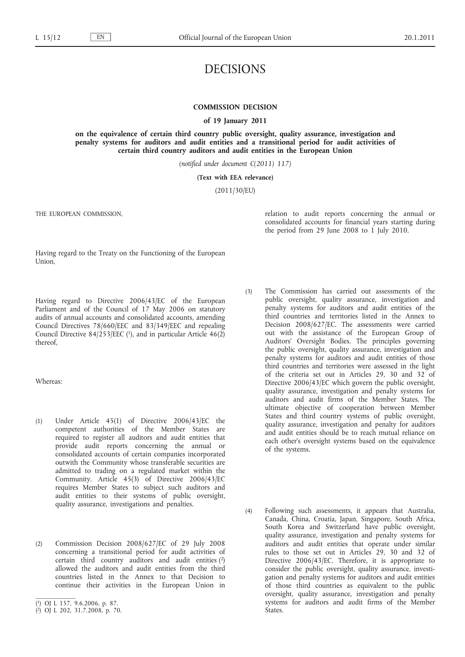# DECISIONS

## **COMMISSION DECISION**

**of 19 January 2011**

**on the equivalence of certain third country public oversight, quality assurance, investigation and penalty systems for auditors and audit entities and a transitional period for audit activities of certain third country auditors and audit entities in the European Union**

*(notified under document C(2011) 117)*

#### **(Text with EEA relevance)**

(2011/30/EU)

THE EUROPEAN COMMISSION,

relation to audit reports concerning the annual or consolidated accounts for financial years starting during the period from 29 June 2008 to 1 July 2010.

Having regard to the Treaty on the Functioning of the European Union,

Having regard to Directive 2006/43/EC of the European Parliament and of the Council of 17 May 2006 on statutory audits of annual accounts and consolidated accounts, amending Council Directives 78/660/EEC and 83/349/EEC and repealing Council Directive 84/253/EEC (1), and in particular Article 46(2) thereof,

Whereas:

- (1) Under Article 45(1) of Directive 2006/43/EC the competent authorities of the Member States are required to register all auditors and audit entities that provide audit reports concerning the annual or consolidated accounts of certain companies incorporated outwith the Community whose transferable securities are admitted to trading on a regulated market within the Community. Article 45(3) of Directive 2006/43/EC requires Member States to subject such auditors and audit entities to their systems of public oversight, quality assurance, investigations and penalties.
- (2) Commission Decision 2008/627/EC of 29 July 2008 concerning a transitional period for audit activities of certain third country auditors and audit entities (2) allowed the auditors and audit entities from the third countries listed in the Annex to that Decision to continue their activities in the European Union in
- (3) The Commission has carried out assessments of the public oversight, quality assurance, investigation and penalty systems for auditors and audit entities of the third countries and territories listed in the Annex to Decision 2008/627/EC. The assessments were carried out with the assistance of the European Group of Auditors' Oversight Bodies. The principles governing the public oversight, quality assurance, investigation and penalty systems for auditors and audit entities of those third countries and territories were assessed in the light of the criteria set out in Articles 29, 30 and 32 of Directive 2006/43/EC which govern the public oversight, quality assurance, investigation and penalty systems for auditors and audit firms of the Member States. The ultimate objective of cooperation between Member States and third country systems of public oversight, quality assurance, investigation and penalty for auditors and audit entities should be to reach mutual reliance on each other's oversight systems based on the equivalence of the systems.
- (4) Following such assessments, it appears that Australia, Canada, China, Croatia, Japan, Singapore, South Africa, South Korea and Switzerland have public oversight, quality assurance, investigation and penalty systems for auditors and audit entities that operate under similar rules to those set out in Articles 29, 30 and 32 of Directive 2006/43/EC. Therefore, it is appropriate to consider the public oversight, quality assurance, investigation and penalty systems for auditors and audit entities of those third countries as equivalent to the public oversight, quality assurance, investigation and penalty systems for auditors and audit firms of the Member States.

<sup>(</sup> 1) OJ L 157, 9.6.2006, p. 87.

<sup>(</sup> 2) OJ L 202, 31.7.2008, p. 70.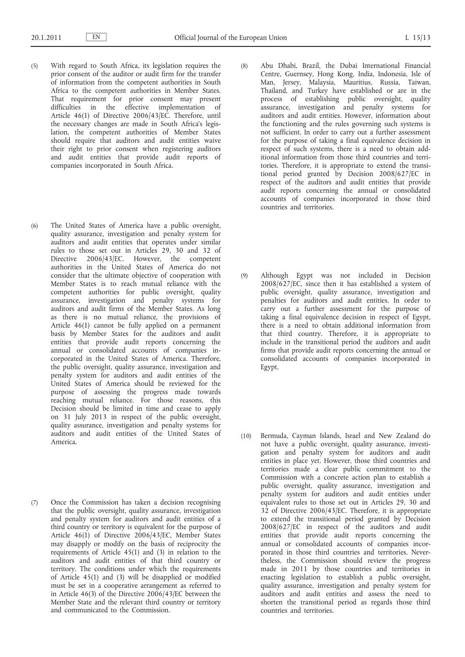- (5) With regard to South Africa, its legislation requires the prior consent of the auditor or audit firm for the transfer of information from the competent authorities in South Africa to the competent authorities in Member States. That requirement for prior consent may present difficulties in the effective implementation of Article 46(1) of Directive 2006/43/EC. Therefore, until the necessary changes are made in South Africa's legislation, the competent authorities of Member States should require that auditors and audit entities waive their right to prior consent when registering auditors and audit entities that provide audit reports of companies incorporated in South Africa.
- (6) The United States of America have a public oversight, quality assurance, investigation and penalty system for auditors and audit entities that operates under similar rules to those set out in Articles 29, 30 and 32 of Directive 2006/43/EC. However, the competent authorities in the United States of America do not consider that the ultimate objective of cooperation with Member States is to reach mutual reliance with the competent authorities for public oversight, quality assurance, investigation and penalty systems for auditors and audit firms of the Member States. As long as there is no mutual reliance, the provisions of Article 46(1) cannot be fully applied on a permanent basis by Member States for the auditors and audit entities that provide audit reports concerning the annual or consolidated accounts of companies incorporated in the United States of America. Therefore, the public oversight, quality assurance, investigation and penalty system for auditors and audit entities of the United States of America should be reviewed for the purpose of assessing the progress made towards reaching mutual reliance. For those reasons, this Decision should be limited in time and cease to apply on 31 July 2013 in respect of the public oversight, quality assurance, investigation and penalty systems for auditors and audit entities of the United States of America.
- (7) Once the Commission has taken a decision recognising that the public oversight, quality assurance, investigation and penalty system for auditors and audit entities of a third country or territory is equivalent for the purpose of Article 46(1) of Directive 2006/43/EC, Member States may disapply or modify on the basis of reciprocity the requirements of Article 45(1) and (3) in relation to the auditors and audit entities of that third country or territory. The conditions under which the requirements of Article 45(1) and (3) will be disapplied or modified must be set in a cooperative arrangement as referred to in Article 46(3) of the Directive 2006/43/EC between the Member State and the relevant third country or territory and communicated to the Commission.
- (8) Abu Dhabi, Brazil, the Dubai International Financial Centre, Guernsey, Hong Kong, India, Indonesia, Isle of Man, Jersey, Malaysia, Mauritius, Russia, Taiwan, Thailand, and Turkey have established or are in the process of establishing public oversight, quality assurance, investigation and penalty systems for auditors and audit entities. However, information about the functioning and the rules governing such systems is not sufficient. In order to carry out a further assessment for the purpose of taking a final equivalence decision in respect of such systems, there is a need to obtain additional information from those third countries and territories. Therefore, it is appropriate to extend the transitional period granted by Decision 2008/627/EC in respect of the auditors and audit entities that provide audit reports concerning the annual or consolidated accounts of companies incorporated in those third countries and territories.
- (9) Although Egypt was not included in Decision 2008/627/EC, since then it has established a system of public oversight, quality assurance, investigation and penalties for auditors and audit entities. In order to carry out a further assessment for the purpose of taking a final equivalence decision in respect of Egypt, there is a need to obtain additional information from that third country. Therefore, it is appropriate to include in the transitional period the auditors and audit firms that provide audit reports concerning the annual or consolidated accounts of companies incorporated in Egypt.
- (10) Bermuda, Cayman Islands, Israel and New Zealand do not have a public oversight, quality assurance, investigation and penalty system for auditors and audit entities in place yet. However, those third countries and territories made a clear public commitment to the Commission with a concrete action plan to establish a public oversight, quality assurance, investigation and penalty system for auditors and audit entities under equivalent rules to those set out in Articles 29, 30 and 32 of Directive 2006/43/EC. Therefore, it is appropriate to extend the transitional period granted by Decision 2008/627/EC in respect of the auditors and audit entities that provide audit reports concerning the annual or consolidated accounts of companies incorporated in those third countries and territories. Nevertheless, the Commission should review the progress made in 2011 by those countries and territories in enacting legislation to establish a public oversight, quality assurance, investigation and penalty system for auditors and audit entities and assess the need to shorten the transitional period as regards those third countries and territories.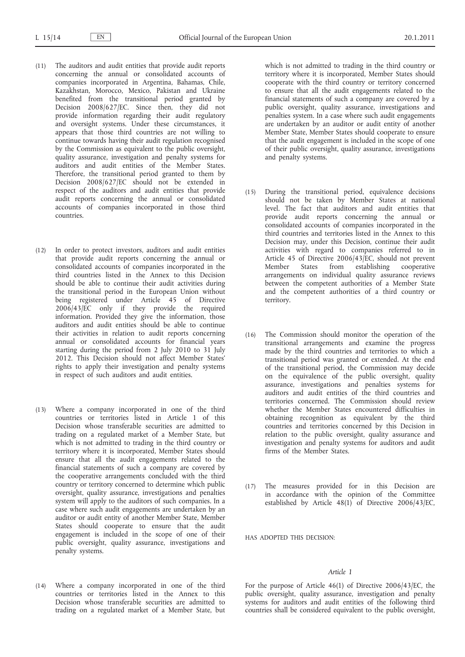- (11) The auditors and audit entities that provide audit reports concerning the annual or consolidated accounts of companies incorporated in Argentina, Bahamas, Chile, Kazakhstan, Morocco, Mexico, Pakistan and Ukraine benefited from the transitional period granted by Decision 2008/627/EC. Since then, they did not provide information regarding their audit regulatory and oversight systems. Under these circumstances, it appears that those third countries are not willing to continue towards having their audit regulation recognised by the Commission as equivalent to the public oversight, quality assurance, investigation and penalty systems for auditors and audit entities of the Member States. Therefore, the transitional period granted to them by Decision 2008/627/EC should not be extended in respect of the auditors and audit entities that provide audit reports concerning the annual or consolidated accounts of companies incorporated in those third countries.
- (12) In order to protect investors, auditors and audit entities that provide audit reports concerning the annual or consolidated accounts of companies incorporated in the third countries listed in the Annex to this Decision should be able to continue their audit activities during the transitional period in the European Union without being registered under Article 45 of Directive 2006/43/EC only if they provide the required information. Provided they give the information, those auditors and audit entities should be able to continue their activities in relation to audit reports concerning annual or consolidated accounts for financial years starting during the period from 2 July 2010 to 31 July 2012. This Decision should not affect Member States' rights to apply their investigation and penalty systems in respect of such auditors and audit entities.
- (13) Where a company incorporated in one of the third countries or territories listed in Article 1 of this Decision whose transferable securities are admitted to trading on a regulated market of a Member State, but which is not admitted to trading in the third country or territory where it is incorporated, Member States should ensure that all the audit engagements related to the financial statements of such a company are covered by the cooperative arrangements concluded with the third country or territory concerned to determine which public oversight, quality assurance, investigations and penalties system will apply to the auditors of such companies. In a case where such audit engagements are undertaken by an auditor or audit entity of another Member State, Member States should cooperate to ensure that the audit engagement is included in the scope of one of their public oversight, quality assurance, investigations and penalty systems.
- (14) Where a company incorporated in one of the third countries or territories listed in the Annex to this Decision whose transferable securities are admitted to trading on a regulated market of a Member State, but

which is not admitted to trading in the third country or territory where it is incorporated, Member States should cooperate with the third country or territory concerned to ensure that all the audit engagements related to the financial statements of such a company are covered by a public oversight, quality assurance, investigations and penalties system. In a case where such audit engagements are undertaken by an auditor or audit entity of another Member State, Member States should cooperate to ensure that the audit engagement is included in the scope of one of their public oversight, quality assurance, investigations and penalty systems.

- (15) During the transitional period, equivalence decisions should not be taken by Member States at national level. The fact that auditors and audit entities that provide audit reports concerning the annual or consolidated accounts of companies incorporated in the third countries and territories listed in the Annex to this Decision may, under this Decision, continue their audit activities with regard to companies referred to in Article 45 of Directive 2006/43/EC, should not prevent Member States from establishing cooperative arrangements on individual quality assurance reviews between the competent authorities of a Member State and the competent authorities of a third country or territory.
- (16) The Commission should monitor the operation of the transitional arrangements and examine the progress made by the third countries and territories to which a transitional period was granted or extended. At the end of the transitional period, the Commission may decide on the equivalence of the public oversight, quality assurance, investigations and penalties systems for auditors and audit entities of the third countries and territories concerned. The Commission should review whether the Member States encountered difficulties in obtaining recognition as equivalent by the third countries and territories concerned by this Decision in relation to the public oversight, quality assurance and investigation and penalty systems for auditors and audit firms of the Member States.
- (17) The measures provided for in this Decision are in accordance with the opinion of the Committee established by Article  $48(1)$  of Directive 2006/43/EC,

HAS ADOPTED THIS DECISION:

#### *Article 1*

For the purpose of Article 46(1) of Directive 2006/43/EC, the public oversight, quality assurance, investigation and penalty systems for auditors and audit entities of the following third countries shall be considered equivalent to the public oversight,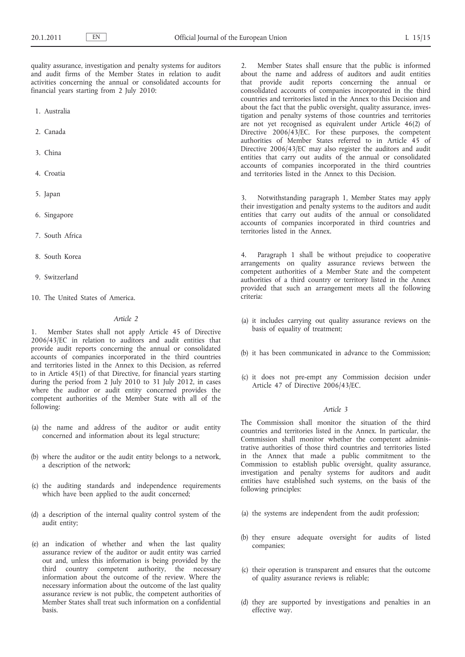quality assurance, investigation and penalty systems for auditors and audit firms of the Member States in relation to audit activities concerning the annual or consolidated accounts for financial years starting from 2 July 2010:

- 1. Australia
- 2. Canada
- 3. China
- 4. Croatia
- 5. Japan
- 6. Singapore
- 7. South Africa
- 8. South Korea
- 9. Switzerland
- 10. The United States of America.

## *Article 2*

1. Member States shall not apply Article 45 of Directive 2006/43/EC in relation to auditors and audit entities that provide audit reports concerning the annual or consolidated accounts of companies incorporated in the third countries and territories listed in the Annex to this Decision, as referred to in Article 45(1) of that Directive, for financial years starting during the period from 2 July 2010 to 31 July 2012, in cases where the auditor or audit entity concerned provides the competent authorities of the Member State with all of the following:

- (a) the name and address of the auditor or audit entity concerned and information about its legal structure;
- (b) where the auditor or the audit entity belongs to a network, a description of the network;
- (c) the auditing standards and independence requirements which have been applied to the audit concerned;
- (d) a description of the internal quality control system of the audit entity;
- (e) an indication of whether and when the last quality assurance review of the auditor or audit entity was carried out and, unless this information is being provided by the third country competent authority, the necessary information about the outcome of the review. Where the necessary information about the outcome of the last quality assurance review is not public, the competent authorities of Member States shall treat such information on a confidential basis.

2. Member States shall ensure that the public is informed about the name and address of auditors and audit entities that provide audit reports concerning the annual or consolidated accounts of companies incorporated in the third countries and territories listed in the Annex to this Decision and about the fact that the public oversight, quality assurance, investigation and penalty systems of those countries and territories are not yet recognised as equivalent under Article 46(2) of Directive 2006/43/EC. For these purposes, the competent authorities of Member States referred to in Article 45 of Directive 2006/43/EC may also register the auditors and audit entities that carry out audits of the annual or consolidated accounts of companies incorporated in the third countries and territories listed in the Annex to this Decision.

3. Notwithstanding paragraph 1, Member States may apply their investigation and penalty systems to the auditors and audit entities that carry out audits of the annual or consolidated accounts of companies incorporated in third countries and territories listed in the Annex.

4. Paragraph 1 shall be without prejudice to cooperative arrangements on quality assurance reviews between the competent authorities of a Member State and the competent authorities of a third country or territory listed in the Annex provided that such an arrangement meets all the following criteria:

- (a) it includes carrying out quality assurance reviews on the basis of equality of treatment;
- (b) it has been communicated in advance to the Commission;
- (c) it does not pre-empt any Commission decision under Article 47 of Directive 2006/43/EC.

#### *Article 3*

The Commission shall monitor the situation of the third countries and territories listed in the Annex. In particular, the Commission shall monitor whether the competent administrative authorities of those third countries and territories listed in the Annex that made a public commitment to the Commission to establish public oversight, quality assurance, investigation and penalty systems for auditors and audit entities have established such systems, on the basis of the following principles:

- (a) the systems are independent from the audit profession;
- (b) they ensure adequate oversight for audits of listed companies;
- (c) their operation is transparent and ensures that the outcome of quality assurance reviews is reliable;
- (d) they are supported by investigations and penalties in an effective way.